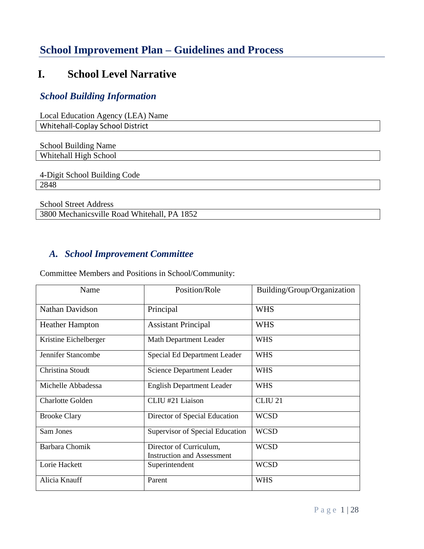# **School Improvement Plan – Guidelines and Process**

# **I. School Level Narrative**

## *School Building Information*

| Local Education Agency (LEA) Name           |
|---------------------------------------------|
| Whitehall-Coplay School District            |
|                                             |
| <b>School Building Name</b>                 |
| Whitehall High School                       |
|                                             |
| 4-Digit School Building Code                |
| 2848                                        |
|                                             |
| <b>School Street Address</b>                |
| 3800 Mechanicsville Road Whitehall, PA 1852 |

### *A. School Improvement Committee*

Committee Members and Positions in School/Community:

| Name                    | Position/Role                                                | Building/Group/Organization |
|-------------------------|--------------------------------------------------------------|-----------------------------|
| Nathan Davidson         | Principal                                                    | <b>WHS</b>                  |
| <b>Heather Hampton</b>  | <b>Assistant Principal</b>                                   | <b>WHS</b>                  |
| Kristine Eichelberger   | Math Department Leader                                       | <b>WHS</b>                  |
| Jennifer Stancombe      | Special Ed Department Leader                                 | <b>WHS</b>                  |
| Christina Stoudt        | <b>Science Department Leader</b>                             | <b>WHS</b>                  |
| Michelle Abbadessa      | <b>English Department Leader</b>                             | <b>WHS</b>                  |
| <b>Charlotte Golden</b> | CLIU #21 Liaison                                             | CLIU <sub>21</sub>          |
| <b>Brooke Clary</b>     | Director of Special Education                                | <b>WCSD</b>                 |
| Sam Jones               | Supervisor of Special Education                              | <b>WCSD</b>                 |
| <b>Barbara Chomik</b>   | Director of Curriculum,<br><b>Instruction and Assessment</b> | <b>WCSD</b>                 |
| Lorie Hackett           | Superintendent                                               | <b>WCSD</b>                 |
| Alicia Knauff           | Parent                                                       | <b>WHS</b>                  |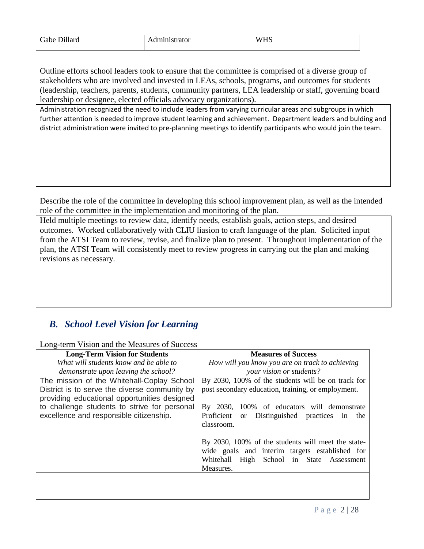| .<br>$\sim$<br>Gabe Dillard | Administrator | <b>TYTTO</b><br>$\mathbf{M}$<br>-<br>v۱<br>1 I D |
|-----------------------------|---------------|--------------------------------------------------|
|-----------------------------|---------------|--------------------------------------------------|

Outline efforts school leaders took to ensure that the committee is comprised of a diverse group of stakeholders who are involved and invested in LEAs, schools, programs, and outcomes for students (leadership, teachers, parents, students, community partners, LEA leadership or staff, governing board leadership or designee, elected officials advocacy organizations).

Administration recognized the need to include leaders from varying curricular areas and subgroups in which further attention is needed to improve student learning and achievement. Department leaders and bulding and district administration were invited to pre-planning meetings to identify participants who would join the team.

Describe the role of the committee in developing this school improvement plan, as well as the intended role of the committee in the implementation and monitoring of the plan.

Held multiple meetings to review data, identify needs, establish goals, action steps, and desired outcomes. Worked collaboratively with CLIU liasion to craft language of the plan. Solicited input from the ATSI Team to review, revise, and finalize plan to present. Throughout implementation of the plan, the ATSI Team will consistently meet to review progress in carrying out the plan and making revisions as necessary.

## *B. School Level Vision for Learning*

Long-term Vision and the Measures of Success

| <b>Long-Term Vision for Students</b>          | <b>Measures of Success</b>                                       |
|-----------------------------------------------|------------------------------------------------------------------|
| What will students know and be able to        | How will you know you are on track to achieving                  |
| demonstrate upon leaving the school?          | your vision or students?                                         |
| The mission of the Whitehall-Coplay School    | By 2030, 100% of the students will be on track for               |
| District is to serve the diverse community by | post secondary education, training, or employment.               |
| providing educational opportunities designed  |                                                                  |
| to challenge students to strive for personal  | By 2030, 100% of educators will demonstrate                      |
| excellence and responsible citizenship.       | Proficient<br>Distinguished practices in<br><sub>or</sub><br>the |
|                                               | classroom.                                                       |
|                                               |                                                                  |
|                                               | By 2030, 100% of the students will meet the state-               |
|                                               | wide goals and interim targets established for                   |
|                                               | High School in State Assessment<br>Whitehall                     |
|                                               | Measures.                                                        |
|                                               |                                                                  |
|                                               |                                                                  |
|                                               |                                                                  |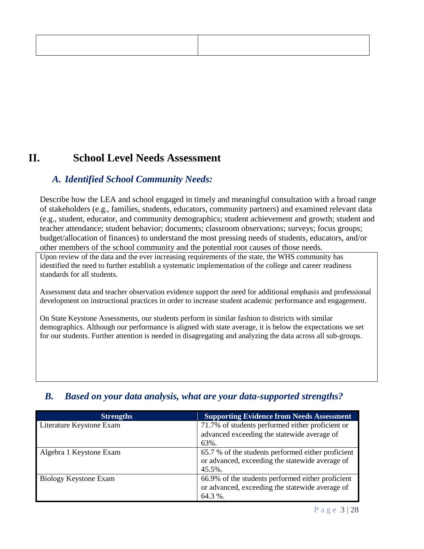# **II. School Level Needs Assessment**

### *A. Identified School Community Needs:*

Describe how the LEA and school engaged in timely and meaningful consultation with a broad range of stakeholders (e.g., families, students, educators, community partners) and examined relevant data (e.g., student, educator, and community demographics; student achievement and growth; student and teacher attendance; student behavior; documents; classroom observations; surveys; focus groups; budget/allocation of finances) to understand the most pressing needs of students, educators, and/or other members of the school community and the potential root causes of those needs.

Upon review of the data and the ever increasing requirements of the state, the WHS community has identified the need to further establish a systematic implementation of the college and career readiness standards for all students.

Assessment data and teacher observation evidence support the need for additional emphasis and professional development on instructional practices in order to increase student academic performance and engagement.

On State Keystone Assessments, our students perform in similar fashion to districts with similar demographics. Although our performance is aligned with state average, it is below the expectations we set for our students. Further attention is needed in disagregating and analyzing the data across all sub-groups.

| <b>Strengths</b>         | <b>Supporting Evidence from Needs Assessment</b>                                                                    |
|--------------------------|---------------------------------------------------------------------------------------------------------------------|
| Literature Keystone Exam | 71.7% of students performed either proficient or<br>advanced exceeding the statewide average of<br>63%.             |
| Algebra 1 Keystone Exam  | 65.7 % of the students performed either proficient<br>or advanced, exceeding the statewide average of<br>$45.5\%$ . |
| Biology Keystone Exam    | 66.9% of the students performed either proficient<br>or advanced, exceeding the statewide average of<br>$64.3\%$ .  |

## *B. Based on your data analysis, what are your data-supported strengths?*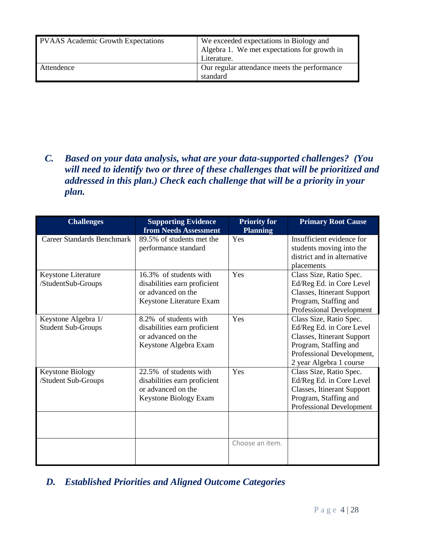| <b>PVAAS</b> Academic Growth Expectations | We exceeded expectations in Biology and<br>Algebra 1. We met expectations for growth in<br>Literature. |
|-------------------------------------------|--------------------------------------------------------------------------------------------------------|
| Attendence                                | Our regular attendance meets the performance<br>standard                                               |

*C. Based on your data analysis, what are your data-supported challenges? (You will need to identify two or three of these challenges that will be prioritized and addressed in this plan.) Check each challenge that will be a priority in your plan.* 

| <b>Challenges</b>                 | <b>Supporting Evidence</b><br>from Needs Assessment | <b>Priority for</b><br><b>Planning</b> | <b>Primary Root Cause</b>                               |
|-----------------------------------|-----------------------------------------------------|----------------------------------------|---------------------------------------------------------|
| <b>Career Standards Benchmark</b> | 89.5% of students met the                           | Yes                                    | Insufficient evidence for                               |
|                                   | performance standard                                |                                        | students moving into the<br>district and in alternative |
|                                   |                                                     |                                        | placements                                              |
| Keystone Literature               | 16.3% of students with                              | Yes                                    | Class Size, Ratio Spec.                                 |
| /StudentSub-Groups                | disabilities earn proficient                        |                                        | Ed/Reg Ed. in Core Level                                |
|                                   | or advanced on the                                  |                                        | Classes, Itinerant Support                              |
|                                   | Keystone Literature Exam                            |                                        | Program, Staffing and                                   |
|                                   |                                                     |                                        | Professional Development                                |
| Keystone Algebra 1/               | 8.2% of students with                               | Yes                                    | Class Size, Ratio Spec.                                 |
| <b>Student Sub-Groups</b>         | disabilities earn proficient                        |                                        | Ed/Reg Ed. in Core Level                                |
|                                   | or advanced on the                                  |                                        | Classes, Itinerant Support                              |
|                                   | Keystone Algebra Exam                               |                                        | Program, Staffing and                                   |
|                                   |                                                     |                                        | Professional Development,<br>2 year Algebra 1 course    |
| <b>Keystone Biology</b>           | 22.5% of students with                              | Yes                                    | Class Size, Ratio Spec.                                 |
| /Student Sub-Groups               | disabilities earn proficient                        |                                        | Ed/Reg Ed. in Core Level                                |
|                                   | or advanced on the                                  |                                        | Classes, Itinerant Support                              |
|                                   | Keystone Biology Exam                               |                                        | Program, Staffing and                                   |
|                                   |                                                     |                                        | Professional Development                                |
|                                   |                                                     |                                        |                                                         |
|                                   |                                                     |                                        |                                                         |
|                                   |                                                     |                                        |                                                         |
|                                   |                                                     | Choose an item.                        |                                                         |
|                                   |                                                     |                                        |                                                         |

*D. Established Priorities and Aligned Outcome Categories*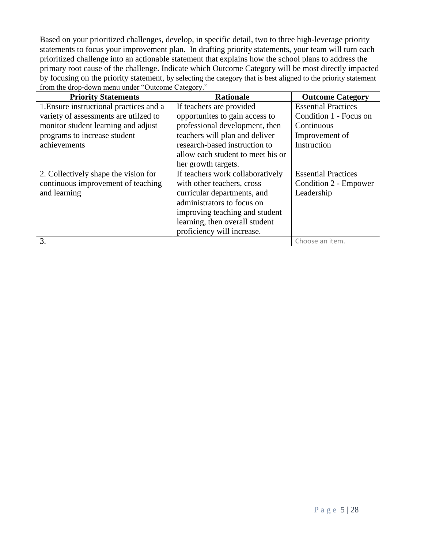Based on your prioritized challenges, develop, in specific detail, two to three high-leverage priority statements to focus your improvement plan. In drafting priority statements, your team will turn each prioritized challenge into an actionable statement that explains how the school plans to address the primary root cause of the challenge. Indicate which Outcome Category will be most directly impacted by focusing on the priority statement, by selecting the category that is best aligned to the priority statement from the drop-down menu under "Outcome Category."

| <b>Priority Statements</b>              | <b>Rationale</b>                  | <b>Outcome Category</b>    |
|-----------------------------------------|-----------------------------------|----------------------------|
| 1. Ensure instructional practices and a | If teachers are provided          | <b>Essential Practices</b> |
| variety of assessments are utilzed to   | opportunites to gain access to    | Condition 1 - Focus on     |
| monitor student learning and adjust     | professional development, then    | Continuous                 |
| programs to increase student            | teachers will plan and deliver    | Improvement of             |
| achievements                            | research-based instruction to     | Instruction                |
|                                         | allow each student to meet his or |                            |
|                                         | her growth targets.               |                            |
| 2. Collectively shape the vision for    | If teachers work collaboratively  | <b>Essential Practices</b> |
| continuous improvement of teaching      | with other teachers, cross        | Condition 2 - Empower      |
| and learning                            | curricular departments, and       | Leadership                 |
|                                         | administrators to focus on        |                            |
|                                         | improving teaching and student    |                            |
|                                         | learning, then overall student    |                            |
|                                         | proficiency will increase.        |                            |
| 3.                                      |                                   | Choose an item.            |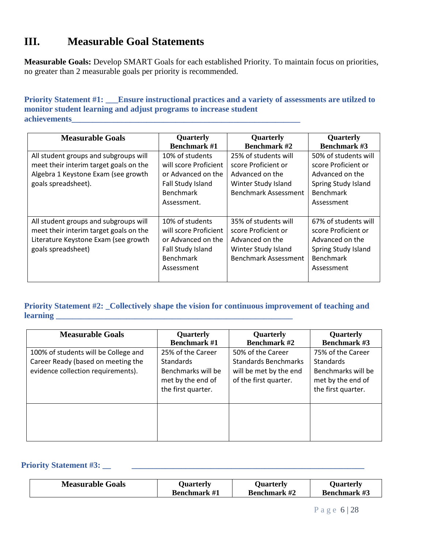## **III. Measurable Goal Statements**

**Measurable Goals:** Develop SMART Goals for each established Priority. To maintain focus on priorities, no greater than 2 measurable goals per priority is recommended.

#### **Priority Statement #1: \_\_\_Ensure instructional practices and a variety of assessments are utilzed to monitor student learning and adjust programs to increase student**   $\bf{ach}$  is a chievements

| <b>Measurable Goals</b>                                                                                                                       | Quarterly<br><b>Benchmark #1</b>                                                                                       | Quarterly<br><b>Benchmark #2</b>                                                                                     | Quarterly<br><b>Benchmark #3</b>                                                                                        |
|-----------------------------------------------------------------------------------------------------------------------------------------------|------------------------------------------------------------------------------------------------------------------------|----------------------------------------------------------------------------------------------------------------------|-------------------------------------------------------------------------------------------------------------------------|
| All student groups and subgroups will<br>meet their interim target goals on the<br>Algebra 1 Keystone Exam (see growth<br>goals spreadsheet). | 10% of students<br>will score Proficient<br>or Advanced on the<br>Fall Study Island<br><b>Benchmark</b><br>Assessment. | 25% of students will<br>score Proficient or<br>Advanced on the<br>Winter Study Island<br>Benchmark Assessment        | 50% of students will<br>score Proficient or<br>Advanced on the<br>Spring Study Island<br><b>Benchmark</b><br>Assessment |
| All student groups and subgroups will<br>meet their interim target goals on the<br>Literature Keystone Exam (see growth<br>goals spreadsheet) | 10% of students<br>will score Proficient<br>or Advanced on the<br>Fall Study Island<br><b>Benchmark</b><br>Assessment  | 35% of students will<br>score Proficient or<br>Advanced on the<br>Winter Study Island<br><b>Benchmark Assessment</b> | 67% of students will<br>score Proficient or<br>Advanced on the<br>Spring Study Island<br><b>Benchmark</b><br>Assessment |

### **Priority Statement #2: \_Collectively shape the vision for continuous improvement of teaching and learning \_\_\_\_\_\_\_\_\_\_\_\_\_\_\_\_\_\_\_\_\_\_\_\_\_\_\_\_\_\_\_\_\_\_\_\_\_\_\_\_\_\_\_\_\_\_\_\_\_\_\_\_\_\_\_\_\_**

| <b>Measurable Goals</b>                                                                                          | Quarterly<br><b>Benchmark #1</b>                                                                       | Quarterly<br><b>Benchmark #2</b>                                                                    | Quarterly<br><b>Benchmark #3</b>                                                                       |
|------------------------------------------------------------------------------------------------------------------|--------------------------------------------------------------------------------------------------------|-----------------------------------------------------------------------------------------------------|--------------------------------------------------------------------------------------------------------|
| 100% of students will be College and<br>Career Ready (based on meeting the<br>evidence collection requirements). | 25% of the Career<br><b>Standards</b><br>Benchmarks will be<br>met by the end of<br>the first quarter. | 50% of the Career<br><b>Standards Benchmarks</b><br>will be met by the end<br>of the first quarter. | 75% of the Career<br><b>Standards</b><br>Benchmarks will be<br>met by the end of<br>the first quarter. |
|                                                                                                                  |                                                                                                        |                                                                                                     |                                                                                                        |

### **Priority Statement #3: \_\_ \_\_\_\_\_\_\_\_\_\_\_\_\_\_\_\_\_\_\_\_\_\_\_\_\_\_\_\_\_\_\_\_\_\_\_\_\_\_\_\_\_\_\_\_\_\_\_\_\_\_\_\_\_\_\_\_**

| <b>Measurable Goals</b> | Ouarterly           | <b>Ouarterly</b>    | <b>Ouarterly</b>    |
|-------------------------|---------------------|---------------------|---------------------|
|                         | <b>Benchmark</b> #1 | <b>Benchmark #2</b> | <b>Benchmark #3</b> |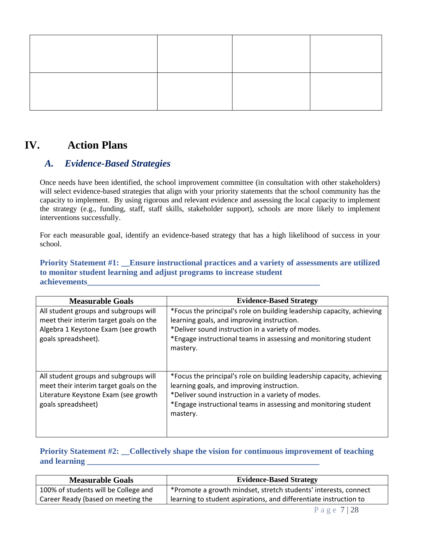## **IV. Action Plans**

### *A. Evidence-Based Strategies*

Once needs have been identified, the school improvement committee (in consultation with other stakeholders) will select evidence-based strategies that align with your priority statements that the school community has the capacity to implement. By using rigorous and relevant evidence and assessing the local capacity to implement the strategy (e.g., funding, staff, staff skills, stakeholder support), schools are more likely to implement interventions successfully.

For each measurable goal, identify an evidence-based strategy that has a high likelihood of success in your school.

#### **Priority Statement #1: \_\_Ensure instructional practices and a variety of assessments are utilized to monitor student learning and adjust programs to increase student achievements\_\_\_\_\_\_\_\_\_\_\_\_\_\_\_\_\_\_\_\_\_\_\_\_\_\_\_\_\_\_\_\_\_\_\_\_\_\_\_\_\_\_\_\_\_\_\_\_\_\_\_\_\_\_\_\_**

| <b>Measurable Goals</b>                | <b>Evidence-Based Strategy</b>                                         |
|----------------------------------------|------------------------------------------------------------------------|
| All student groups and subgroups will  | *Focus the principal's role on building leadership capacity, achieving |
| meet their interim target goals on the | learning goals, and improving instruction.                             |
| Algebra 1 Keystone Exam (see growth    | *Deliver sound instruction in a variety of modes.                      |
| goals spreadsheet).                    | *Engage instructional teams in assessing and monitoring student        |
|                                        | mastery.                                                               |
|                                        |                                                                        |
|                                        |                                                                        |
| All student groups and subgroups will  | *Focus the principal's role on building leadership capacity, achieving |
| meet their interim target goals on the | learning goals, and improving instruction.                             |
| Literature Keystone Exam (see growth   | *Deliver sound instruction in a variety of modes.                      |
| goals spreadsheet)                     | *Engage instructional teams in assessing and monitoring student        |
|                                        | mastery.                                                               |
|                                        |                                                                        |
|                                        |                                                                        |

### **Priority Statement #2: \_Collectively shape the vision for continuous improvement of teaching and learning \_\_\_\_\_\_\_\_\_\_\_\_\_\_\_\_\_\_\_\_\_\_\_\_\_\_\_\_\_\_\_\_\_\_\_\_\_\_\_\_\_\_\_\_\_\_\_\_\_\_\_\_\_\_\_\_**

| <b>Measurable Goals</b>              | <b>Evidence-Based Strategy</b>                                    |
|--------------------------------------|-------------------------------------------------------------------|
| 100% of students will be College and | Promote a growth mindset, stretch students' interests, connect    |
| Career Ready (based on meeting the   | learning to student aspirations, and differentiate instruction to |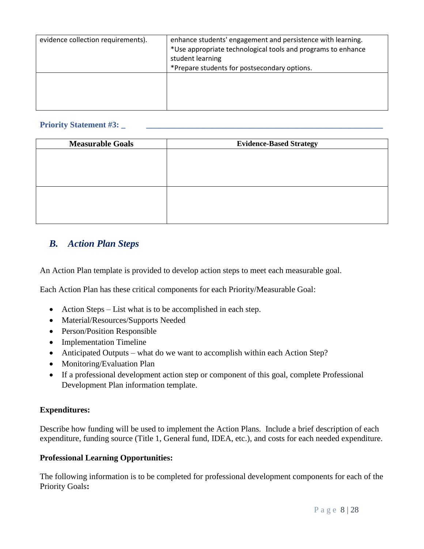| evidence collection requirements). | enhance students' engagement and persistence with learning.<br>*Use appropriate technological tools and programs to enhance<br>student learning<br>*Prepare students for postsecondary options. |
|------------------------------------|-------------------------------------------------------------------------------------------------------------------------------------------------------------------------------------------------|
|                                    |                                                                                                                                                                                                 |

#### **Priority Statement #3: \_**

| <b>Measurable Goals</b> | <b>Evidence-Based Strategy</b> |
|-------------------------|--------------------------------|
|                         |                                |
|                         |                                |
|                         |                                |
|                         |                                |
|                         |                                |
|                         |                                |
|                         |                                |

### *B. Action Plan Steps*

An Action Plan template is provided to develop action steps to meet each measurable goal.

Each Action Plan has these critical components for each Priority/Measurable Goal:

- Action Steps List what is to be accomplished in each step.
- Material/Resources/Supports Needed
- Person/Position Responsible
- Implementation Timeline
- Anticipated Outputs what do we want to accomplish within each Action Step?
- Monitoring/Evaluation Plan
- If a professional development action step or component of this goal, complete Professional Development Plan information template.

#### **Expenditures:**

Describe how funding will be used to implement the Action Plans. Include a brief description of each expenditure, funding source (Title 1, General fund, IDEA, etc.), and costs for each needed expenditure.

#### **Professional Learning Opportunities:**

The following information is to be completed for professional development components for each of the Priority Goals**:**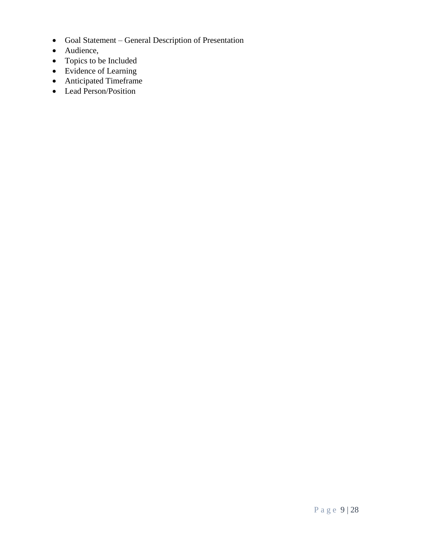- Goal Statement General Description of Presentation
- Audience,
- Topics to be Included
- Evidence of Learning
- Anticipated Timeframe
- Lead Person/Position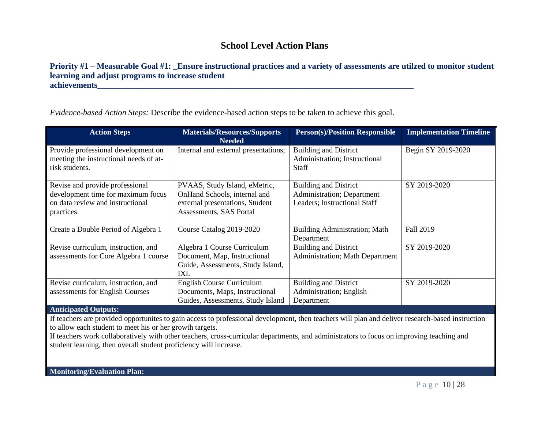## **School Level Action Plans**

#### **Priority #1 – Measurable Goal #1: \_Ensure instructional practices and a variety of assessments are utilzed to monitor student learning and adjust programs to increase student**  $\bf{achievements}$

*Evidence-based Action Steps:* Describe the evidence-based action steps to be taken to achieve this goal.

| <b>Action Steps</b>                                                                                                                               | <b>Materials/Resources/Supports</b><br><b>Needed</b>                                                                        | <b>Person</b> (s)/Position Responsible                                                     | <b>Implementation Timeline</b> |  |
|---------------------------------------------------------------------------------------------------------------------------------------------------|-----------------------------------------------------------------------------------------------------------------------------|--------------------------------------------------------------------------------------------|--------------------------------|--|
| Provide professional development on<br>meeting the instructional needs of at-<br>risk students.                                                   | Internal and external presentations;                                                                                        | <b>Building and District</b><br>Administration; Instructional<br><b>Staff</b>              | Begin SY 2019-2020             |  |
| Revise and provide professional<br>development time for maximum focus<br>on data review and instructional<br>practices.                           | PVAAS, Study Island, eMetric,<br>OnHand Schools, internal and<br>external presentations, Student<br>Assessments, SAS Portal | <b>Building and District</b><br>Administration; Department<br>Leaders; Instructional Staff | SY 2019-2020                   |  |
| Create a Double Period of Algebra 1                                                                                                               | Course Catalog 2019-2020                                                                                                    | <b>Building Administration; Math</b><br>Department                                         | Fall 2019                      |  |
| Revise curriculum, instruction, and<br>assessments for Core Algebra 1 course                                                                      | Algebra 1 Course Curriculum<br>Document, Map, Instructional<br>Guide, Assessments, Study Island,<br>IXL                     | <b>Building and District</b><br>Administration; Math Department                            | SY 2019-2020                   |  |
| Revise curriculum, instruction, and<br>assessments for English Courses                                                                            | <b>English Course Curriculum</b><br>Documents, Maps, Instructional<br>Guides, Assessments, Study Island                     | <b>Building and District</b><br>Administration; English<br>Department                      | SY 2019-2020                   |  |
| <b>Anticipated Outputs:</b>                                                                                                                       |                                                                                                                             |                                                                                            |                                |  |
| If teachers are provided opportunities to gain access to professional development, then teachers will plan and deliver research-based instruction |                                                                                                                             |                                                                                            |                                |  |

to allow each student to meet his or her growth targets.

If teachers work collaboratively with other teachers, cross-curricular departments, and administrators to focus on improving teaching and student learning, then overall student proficiency will increase.

**Monitoring/Evaluation Plan:**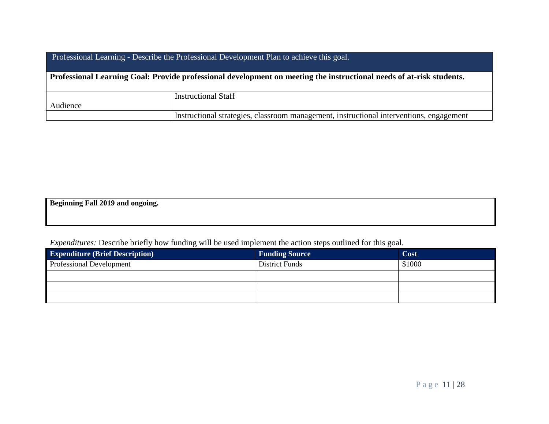| Professional Learning - Describe the Professional Development Plan to achieve this goal.                             |                                                                                         |  |  |
|----------------------------------------------------------------------------------------------------------------------|-----------------------------------------------------------------------------------------|--|--|
| Professional Learning Goal: Provide professional development on meeting the instructional needs of at-risk students. |                                                                                         |  |  |
|                                                                                                                      | <b>Instructional Staff</b>                                                              |  |  |
| Audience                                                                                                             |                                                                                         |  |  |
|                                                                                                                      | Instructional strategies, classroom management, instructional interventions, engagement |  |  |

**Beginning Fall 2019 and ongoing.**

| <b>Expenditure (Brief Description)</b> | <b>Funding Source</b> | Cost   |
|----------------------------------------|-----------------------|--------|
| <b>Professional Development</b>        | <b>District Funds</b> | \$1000 |
|                                        |                       |        |
|                                        |                       |        |
|                                        |                       |        |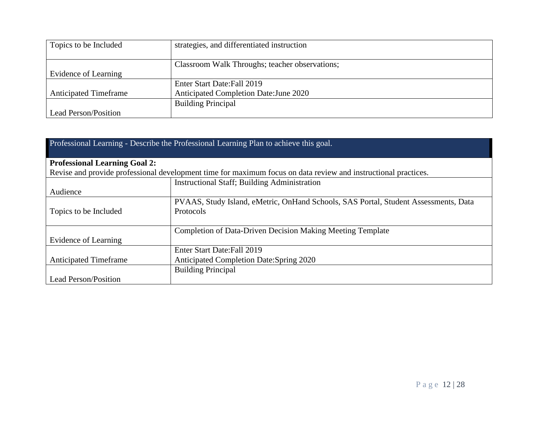| Topics to be Included        | strategies, and differentiated instruction     |  |
|------------------------------|------------------------------------------------|--|
|                              |                                                |  |
|                              | Classroom Walk Throughs; teacher observations; |  |
| Evidence of Learning         |                                                |  |
|                              | Enter Start Date: Fall 2019                    |  |
| <b>Anticipated Timeframe</b> | Anticipated Completion Date: June 2020         |  |
|                              | <b>Building Principal</b>                      |  |
| <b>Lead Person/Position</b>  |                                                |  |

| Professional Learning - Describe the Professional Learning Plan to achieve this goal. |                                                                                                                |  |  |
|---------------------------------------------------------------------------------------|----------------------------------------------------------------------------------------------------------------|--|--|
| <b>Professional Learning Goal 2:</b>                                                  |                                                                                                                |  |  |
|                                                                                       | Revise and provide professional development time for maximum focus on data review and instructional practices. |  |  |
|                                                                                       | <b>Instructional Staff</b> ; Building Administration                                                           |  |  |
| Audience                                                                              |                                                                                                                |  |  |
| Topics to be Included                                                                 | PVAAS, Study Island, eMetric, OnHand Schools, SAS Portal, Student Assessments, Data<br>Protocols               |  |  |
|                                                                                       | <b>Completion of Data-Driven Decision Making Meeting Template</b>                                              |  |  |
| Evidence of Learning                                                                  |                                                                                                                |  |  |
|                                                                                       | Enter Start Date: Fall 2019                                                                                    |  |  |
| <b>Anticipated Timeframe</b>                                                          | Anticipated Completion Date: Spring 2020                                                                       |  |  |
|                                                                                       | <b>Building Principal</b>                                                                                      |  |  |
| <b>Lead Person/Position</b>                                                           |                                                                                                                |  |  |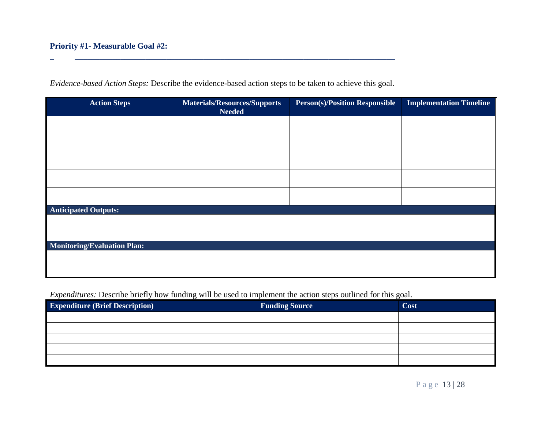| Evidence-based Action Steps: Describe the evidence-based action steps to be taken to achieve this goal. |
|---------------------------------------------------------------------------------------------------------|
|---------------------------------------------------------------------------------------------------------|

**\_ \_\_\_\_\_\_\_\_\_\_\_\_\_\_\_\_\_\_\_\_\_\_\_\_\_\_\_\_\_\_\_\_\_\_\_\_\_\_\_\_\_\_\_\_\_\_\_\_\_\_\_\_\_\_\_\_\_\_\_\_\_\_\_\_\_\_\_\_\_\_\_\_\_\_\_\_\_**

| <b>Action Steps</b>                | <b>Materials/Resources/Supports</b><br><b>Needed</b> | <b>Person(s)/Position Responsible</b> | <b>Implementation Timeline</b> |
|------------------------------------|------------------------------------------------------|---------------------------------------|--------------------------------|
|                                    |                                                      |                                       |                                |
|                                    |                                                      |                                       |                                |
|                                    |                                                      |                                       |                                |
|                                    |                                                      |                                       |                                |
|                                    |                                                      |                                       |                                |
| <b>Anticipated Outputs:</b>        |                                                      |                                       |                                |
|                                    |                                                      |                                       |                                |
| <b>Monitoring/Evaluation Plan:</b> |                                                      |                                       |                                |
|                                    |                                                      |                                       |                                |

| <b>Expenditure (Brief Description)</b> | <b>Funding Source</b> | Cost |
|----------------------------------------|-----------------------|------|
|                                        |                       |      |
|                                        |                       |      |
|                                        |                       |      |
|                                        |                       |      |
|                                        |                       |      |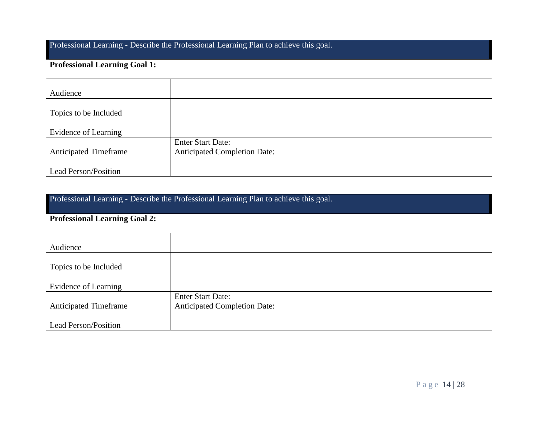Professional Learning - Describe the Professional Learning Plan to achieve this goal.

| <b>Professional Learning Goal 1:</b> |                                                                 |  |
|--------------------------------------|-----------------------------------------------------------------|--|
| Audience                             |                                                                 |  |
| Topics to be Included                |                                                                 |  |
| Evidence of Learning                 |                                                                 |  |
| <b>Anticipated Timeframe</b>         | <b>Enter Start Date:</b><br><b>Anticipated Completion Date:</b> |  |
| Lead Person/Position                 |                                                                 |  |

| Professional Learning - Describe the Professional Learning Plan to achieve this goal. |                                     |  |
|---------------------------------------------------------------------------------------|-------------------------------------|--|
| <b>Professional Learning Goal 2:</b>                                                  |                                     |  |
|                                                                                       |                                     |  |
| Audience                                                                              |                                     |  |
| Topics to be Included                                                                 |                                     |  |
| Evidence of Learning                                                                  |                                     |  |
|                                                                                       | <b>Enter Start Date:</b>            |  |
| <b>Anticipated Timeframe</b>                                                          | <b>Anticipated Completion Date:</b> |  |
| <b>Lead Person/Position</b>                                                           |                                     |  |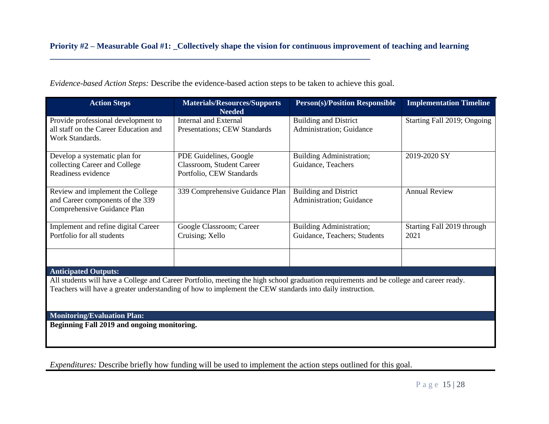*Evidence-based Action Steps:* Describe the evidence-based action steps to be taken to achieve this goal.

**\_\_\_\_\_\_\_\_\_\_\_\_\_\_\_\_\_\_\_\_\_\_\_\_\_\_\_\_\_\_\_\_\_\_\_\_\_\_\_\_\_\_\_\_\_\_\_\_\_\_\_\_\_\_\_\_\_\_\_\_\_\_\_\_\_\_\_\_\_\_\_\_\_\_\_\_\_**

| <b>Action Steps</b>                                                                                                                                                                                                                                 | <b>Materials/Resources/Supports</b><br><b>Needed</b>                            | <b>Person(s)/Position Responsible</b>                    | <b>Implementation Timeline</b>     |
|-----------------------------------------------------------------------------------------------------------------------------------------------------------------------------------------------------------------------------------------------------|---------------------------------------------------------------------------------|----------------------------------------------------------|------------------------------------|
| Provide professional development to<br>all staff on the Career Education and<br>Work Standards.                                                                                                                                                     | Internal and External<br>Presentations; CEW Standards                           | <b>Building and District</b><br>Administration; Guidance | Starting Fall 2019; Ongoing        |
| Develop a systematic plan for<br>collecting Career and College<br>Readiness evidence                                                                                                                                                                | PDE Guidelines, Google<br>Classroom, Student Career<br>Portfolio, CEW Standards | <b>Building Administration;</b><br>Guidance, Teachers    | 2019-2020 SY                       |
| Review and implement the College<br>and Career components of the 339<br>Comprehensive Guidance Plan                                                                                                                                                 | 339 Comprehensive Guidance Plan                                                 | <b>Building and District</b><br>Administration; Guidance | <b>Annual Review</b>               |
| Implement and refine digital Career<br>Portfolio for all students                                                                                                                                                                                   | Google Classroom; Career<br>Cruising; Xello                                     | Building Administration;<br>Guidance, Teachers; Students | Starting Fall 2019 through<br>2021 |
|                                                                                                                                                                                                                                                     |                                                                                 |                                                          |                                    |
| <b>Anticipated Outputs:</b>                                                                                                                                                                                                                         |                                                                                 |                                                          |                                    |
| All students will have a College and Career Portfolio, meeting the high school graduation requirements and be college and career ready.<br>Teachers will have a greater understanding of how to implement the CEW standards into daily instruction. |                                                                                 |                                                          |                                    |
|                                                                                                                                                                                                                                                     |                                                                                 |                                                          |                                    |
| <b>Monitoring/Evaluation Plan:</b>                                                                                                                                                                                                                  |                                                                                 |                                                          |                                    |

**Beginning Fall 2019 and ongoing monitoring.**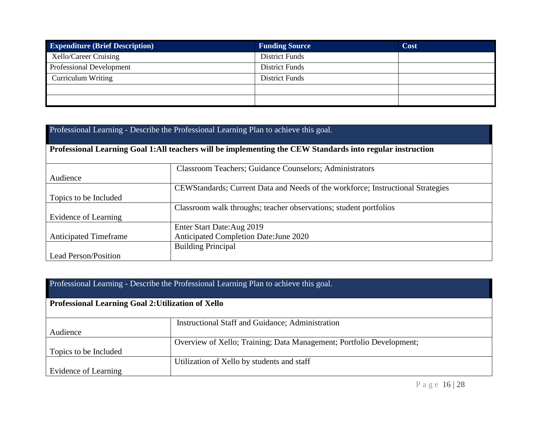| <b>Expenditure (Brief Description)</b> | <b>Funding Source</b> | Cost |
|----------------------------------------|-----------------------|------|
| Xello/Career Cruising                  | <b>District Funds</b> |      |
| <b>Professional Development</b>        | <b>District Funds</b> |      |
| <b>Curriculum Writing</b>              | <b>District Funds</b> |      |
|                                        |                       |      |
|                                        |                       |      |

| Professional Learning - Describe the Professional Learning Plan to achieve this goal.                     |                                                                                 |  |  |
|-----------------------------------------------------------------------------------------------------------|---------------------------------------------------------------------------------|--|--|
| Professional Learning Goal 1:All teachers will be implementing the CEW Standards into regular instruction |                                                                                 |  |  |
| <b>Classroom Teachers</b> ; Guidance Counselors; Administrators                                           |                                                                                 |  |  |
| Audience                                                                                                  |                                                                                 |  |  |
|                                                                                                           | CEWStandards; Current Data and Needs of the workforce; Instructional Strategies |  |  |
| Topics to be Included                                                                                     |                                                                                 |  |  |
|                                                                                                           | Classroom walk throughs; teacher observations; student portfolios               |  |  |
| Evidence of Learning                                                                                      |                                                                                 |  |  |
|                                                                                                           | Enter Start Date: Aug 2019                                                      |  |  |
| <b>Anticipated Timeframe</b>                                                                              | Anticipated Completion Date: June 2020                                          |  |  |
| <b>Building Principal</b>                                                                                 |                                                                                 |  |  |
| <b>Lead Person/Position</b>                                                                               |                                                                                 |  |  |

| Professional Learning - Describe the Professional Learning Plan to achieve this goal. |                                                                      |  |
|---------------------------------------------------------------------------------------|----------------------------------------------------------------------|--|
| Professional Learning Goal 2: Utilization of Xello                                    |                                                                      |  |
|                                                                                       | Instructional Staff and Guidance; Administration                     |  |
| Audience                                                                              |                                                                      |  |
|                                                                                       | Overview of Xello; Training; Data Management; Portfolio Development; |  |
| Topics to be Included                                                                 |                                                                      |  |
|                                                                                       | Utilization of Xello by students and staff                           |  |
| Evidence of Learning                                                                  |                                                                      |  |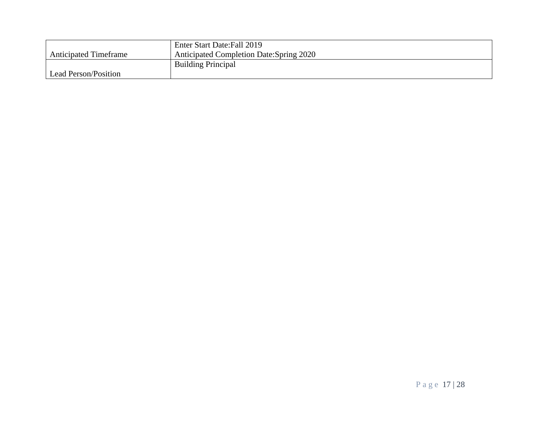|                              | Enter Start Date: Fall 2019              |
|------------------------------|------------------------------------------|
| <b>Anticipated Timeframe</b> | Anticipated Completion Date: Spring 2020 |
|                              | <b>Building Principal</b>                |
| Lead Person/Position         |                                          |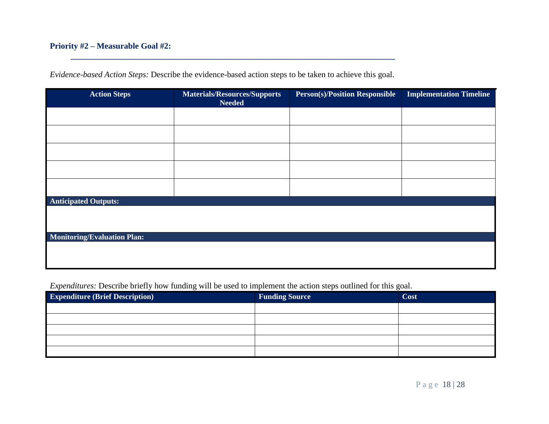### **Priority #2 – Measurable Goal #2:**

| <b>Action Steps</b>                | Materials/Resources/Supports<br><b>Needed</b> | <b>Person(s)/Position Responsible</b> | <b>Implementation Timeline</b> |
|------------------------------------|-----------------------------------------------|---------------------------------------|--------------------------------|
|                                    |                                               |                                       |                                |
|                                    |                                               |                                       |                                |
|                                    |                                               |                                       |                                |
|                                    |                                               |                                       |                                |
|                                    |                                               |                                       |                                |
| <b>Anticipated Outputs:</b>        |                                               |                                       |                                |
|                                    |                                               |                                       |                                |
| <b>Monitoring/Evaluation Plan:</b> |                                               |                                       |                                |
|                                    |                                               |                                       |                                |

*Evidence-based Action Steps:* Describe the evidence-based action steps to be taken to achieve this goal.

**\_\_\_\_\_\_\_\_\_\_\_\_\_\_\_\_\_\_\_\_\_\_\_\_\_\_\_\_\_\_\_\_\_\_\_\_\_\_\_\_\_\_\_\_\_\_\_\_\_\_\_\_\_\_\_\_\_\_\_\_\_\_\_\_\_\_\_\_\_\_\_\_\_\_\_\_\_\_**

| <b>Expenditure (Brief Description)</b> | <b>Funding Source</b> | Cost |
|----------------------------------------|-----------------------|------|
|                                        |                       |      |
|                                        |                       |      |
|                                        |                       |      |
|                                        |                       |      |
|                                        |                       |      |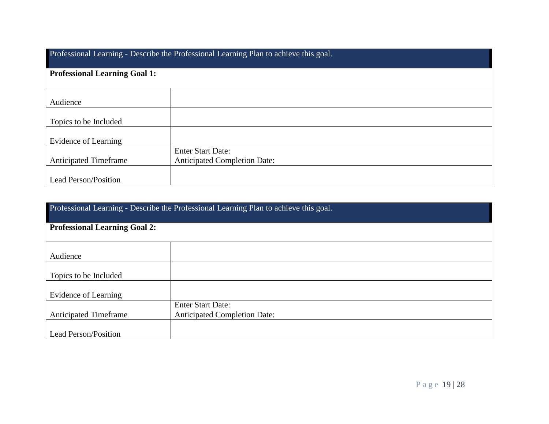| Professional Learning - Describe the Professional Learning Plan to achieve this goal. |                                     |  |
|---------------------------------------------------------------------------------------|-------------------------------------|--|
| <b>Professional Learning Goal 1:</b>                                                  |                                     |  |
|                                                                                       |                                     |  |
| Audience                                                                              |                                     |  |
| Topics to be Included                                                                 |                                     |  |
| Evidence of Learning                                                                  |                                     |  |
|                                                                                       | <b>Enter Start Date:</b>            |  |
| <b>Anticipated Timeframe</b>                                                          | <b>Anticipated Completion Date:</b> |  |
| Lead Person/Position                                                                  |                                     |  |

| Professional Learning - Describe the Professional Learning Plan to achieve this goal. |                                     |  |
|---------------------------------------------------------------------------------------|-------------------------------------|--|
| <b>Professional Learning Goal 2:</b>                                                  |                                     |  |
|                                                                                       |                                     |  |
| Audience                                                                              |                                     |  |
| Topics to be Included                                                                 |                                     |  |
| Evidence of Learning                                                                  |                                     |  |
|                                                                                       | <b>Enter Start Date:</b>            |  |
| <b>Anticipated Timeframe</b>                                                          | <b>Anticipated Completion Date:</b> |  |
| Lead Person/Position                                                                  |                                     |  |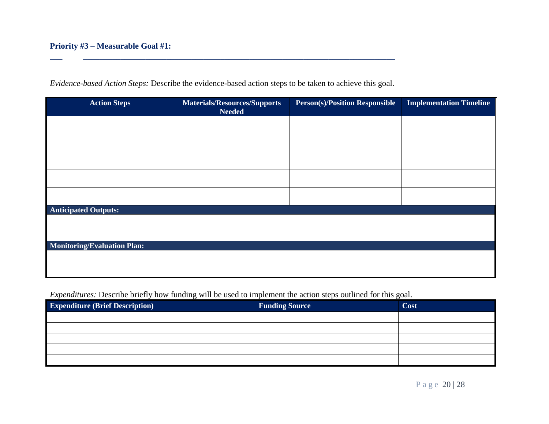| <b>Action Steps</b>                | Materials/Resources/Supports<br><b>Needed</b> | <b>Person(s)/Position Responsible</b> | <b>Implementation Timeline</b> |
|------------------------------------|-----------------------------------------------|---------------------------------------|--------------------------------|
|                                    |                                               |                                       |                                |
|                                    |                                               |                                       |                                |
|                                    |                                               |                                       |                                |
|                                    |                                               |                                       |                                |
|                                    |                                               |                                       |                                |
| <b>Anticipated Outputs:</b>        |                                               |                                       |                                |
|                                    |                                               |                                       |                                |
| <b>Monitoring/Evaluation Plan:</b> |                                               |                                       |                                |
|                                    |                                               |                                       |                                |

*Evidence-based Action Steps:* Describe the evidence-based action steps to be taken to achieve this goal.

**\_\_\_ \_\_\_\_\_\_\_\_\_\_\_\_\_\_\_\_\_\_\_\_\_\_\_\_\_\_\_\_\_\_\_\_\_\_\_\_\_\_\_\_\_\_\_\_\_\_\_\_\_\_\_\_\_\_\_\_\_\_\_\_\_\_\_\_\_\_\_\_\_\_\_\_\_\_\_**

| <b>Expenditure (Brief Description)</b> | <b>Funding Source</b> | Cost |
|----------------------------------------|-----------------------|------|
|                                        |                       |      |
|                                        |                       |      |
|                                        |                       |      |
|                                        |                       |      |
|                                        |                       |      |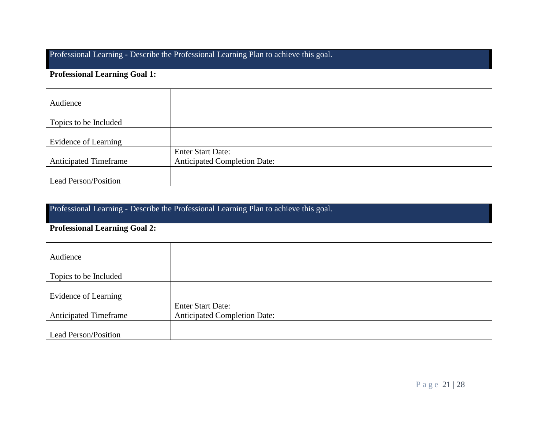| Professional Learning - Describe the Professional Learning Plan to achieve this goal. |                                     |  |
|---------------------------------------------------------------------------------------|-------------------------------------|--|
| <b>Professional Learning Goal 1:</b>                                                  |                                     |  |
|                                                                                       |                                     |  |
| Audience                                                                              |                                     |  |
| Topics to be Included                                                                 |                                     |  |
| Evidence of Learning                                                                  |                                     |  |
|                                                                                       | <b>Enter Start Date:</b>            |  |
| <b>Anticipated Timeframe</b>                                                          | <b>Anticipated Completion Date:</b> |  |
| <b>Lead Person/Position</b>                                                           |                                     |  |

| Professional Learning - Describe the Professional Learning Plan to achieve this goal. |                                     |  |
|---------------------------------------------------------------------------------------|-------------------------------------|--|
| <b>Professional Learning Goal 2:</b>                                                  |                                     |  |
|                                                                                       |                                     |  |
| Audience                                                                              |                                     |  |
| Topics to be Included                                                                 |                                     |  |
| Evidence of Learning                                                                  |                                     |  |
|                                                                                       | <b>Enter Start Date:</b>            |  |
| <b>Anticipated Timeframe</b>                                                          | <b>Anticipated Completion Date:</b> |  |
| <b>Lead Person/Position</b>                                                           |                                     |  |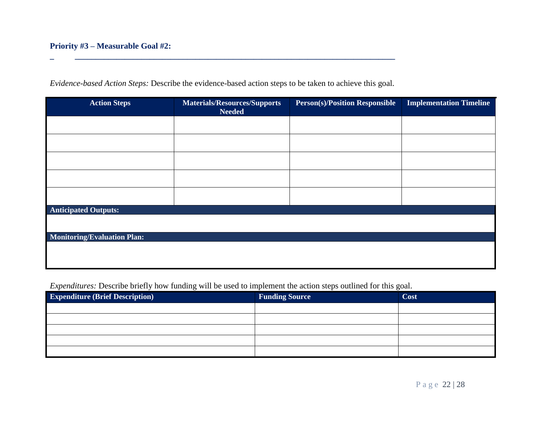| <b>Action Steps</b>                | <b>Materials/Resources/Supports</b><br><b>Needed</b> | <b>Person(s)/Position Responsible</b> | <b>Implementation Timeline</b> |
|------------------------------------|------------------------------------------------------|---------------------------------------|--------------------------------|
|                                    |                                                      |                                       |                                |
|                                    |                                                      |                                       |                                |
|                                    |                                                      |                                       |                                |
|                                    |                                                      |                                       |                                |
|                                    |                                                      |                                       |                                |
| <b>Anticipated Outputs:</b>        |                                                      |                                       |                                |
|                                    |                                                      |                                       |                                |
| <b>Monitoring/Evaluation Plan:</b> |                                                      |                                       |                                |
|                                    |                                                      |                                       |                                |

*Evidence-based Action Steps:* Describe the evidence-based action steps to be taken to achieve this goal.

**\_ \_\_\_\_\_\_\_\_\_\_\_\_\_\_\_\_\_\_\_\_\_\_\_\_\_\_\_\_\_\_\_\_\_\_\_\_\_\_\_\_\_\_\_\_\_\_\_\_\_\_\_\_\_\_\_\_\_\_\_\_\_\_\_\_\_\_\_\_\_\_\_\_\_\_\_\_\_**

| <b>Expenditure (Brief Description)</b> | <b>Funding Source</b> | Cost |
|----------------------------------------|-----------------------|------|
|                                        |                       |      |
|                                        |                       |      |
|                                        |                       |      |
|                                        |                       |      |
|                                        |                       |      |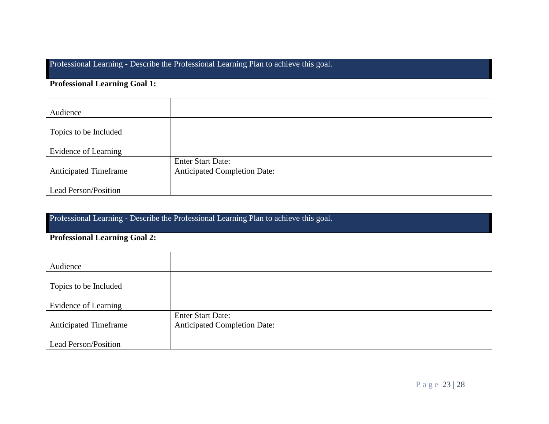| Professional Learning - Describe the Professional Learning Plan to achieve this goal. |                                                                 |  |
|---------------------------------------------------------------------------------------|-----------------------------------------------------------------|--|
| <b>Professional Learning Goal 1:</b>                                                  |                                                                 |  |
| Audience                                                                              |                                                                 |  |
| Topics to be Included                                                                 |                                                                 |  |
| Evidence of Learning                                                                  |                                                                 |  |
| <b>Anticipated Timeframe</b>                                                          | <b>Enter Start Date:</b><br><b>Anticipated Completion Date:</b> |  |
| <b>Lead Person/Position</b>                                                           |                                                                 |  |

| Professional Learning - Describe the Professional Learning Plan to achieve this goal. |                                     |  |
|---------------------------------------------------------------------------------------|-------------------------------------|--|
| <b>Professional Learning Goal 2:</b>                                                  |                                     |  |
|                                                                                       |                                     |  |
| Audience                                                                              |                                     |  |
| Topics to be Included                                                                 |                                     |  |
| Evidence of Learning                                                                  |                                     |  |
|                                                                                       | <b>Enter Start Date:</b>            |  |
| <b>Anticipated Timeframe</b>                                                          | <b>Anticipated Completion Date:</b> |  |
| Lead Person/Position                                                                  |                                     |  |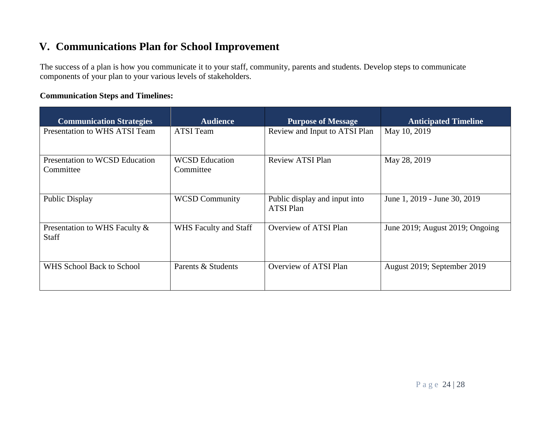# **V. Communications Plan for School Improvement**

The success of a plan is how you communicate it to your staff, community, parents and students. Develop steps to communicate components of your plan to your various levels of stakeholders.

### **Communication Steps and Timelines:**

| <b>Communication Strategies</b>               | <b>Audience</b>                    | <b>Purpose of Message</b>                         | <b>Anticipated Timeline</b>     |
|-----------------------------------------------|------------------------------------|---------------------------------------------------|---------------------------------|
| Presentation to WHS ATSI Team                 | <b>ATSI</b> Team                   | Review and Input to ATSI Plan                     | May 10, 2019                    |
| Presentation to WCSD Education<br>Committee   | <b>WCSD</b> Education<br>Committee | <b>Review ATSI Plan</b>                           | May 28, 2019                    |
| Public Display                                | <b>WCSD Community</b>              | Public display and input into<br><b>ATSI Plan</b> | June 1, 2019 - June 30, 2019    |
| Presentation to WHS Faculty &<br><b>Staff</b> | WHS Faculty and Staff              | Overview of ATSI Plan                             | June 2019; August 2019; Ongoing |
| WHS School Back to School                     | Parents & Students                 | Overview of ATSI Plan                             | August 2019; September 2019     |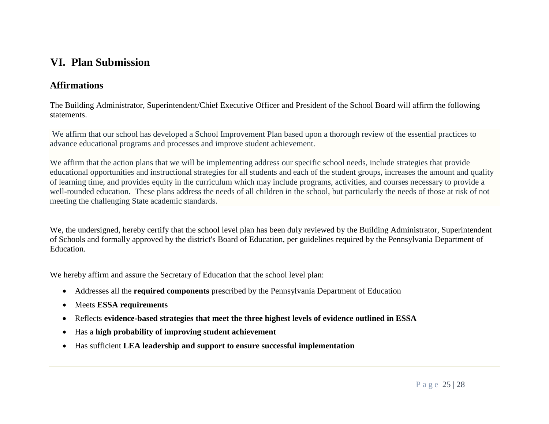## **VI. Plan Submission**

### **Affirmations**

The Building Administrator, Superintendent/Chief Executive Officer and President of the School Board will affirm the following statements.

We affirm that our school has developed a School Improvement Plan based upon a thorough review of the essential practices to advance educational programs and processes and improve student achievement.

We affirm that the action plans that we will be implementing address our specific school needs, include strategies that provide educational opportunities and instructional strategies for all students and each of the student groups, increases the amount and quality of learning time, and provides equity in the curriculum which may include programs, activities, and courses necessary to provide a well-rounded education. These plans address the needs of all children in the school, but particularly the needs of those at risk of not meeting the challenging State academic standards.

We, the undersigned, hereby certify that the school level plan has been duly reviewed by the Building Administrator, Superintendent of Schools and formally approved by the district's Board of Education, per guidelines required by the Pennsylvania Department of Education.

We hereby affirm and assure the Secretary of Education that the school level plan:

- Addresses all the **required components** prescribed by the Pennsylvania Department of Education
- Meets **ESSA requirements**
- Reflects **evidence-based strategies that meet the three highest levels of evidence outlined in ESSA**
- Has a **high probability of improving student achievement**
- Has sufficient **LEA leadership and support to ensure successful implementation**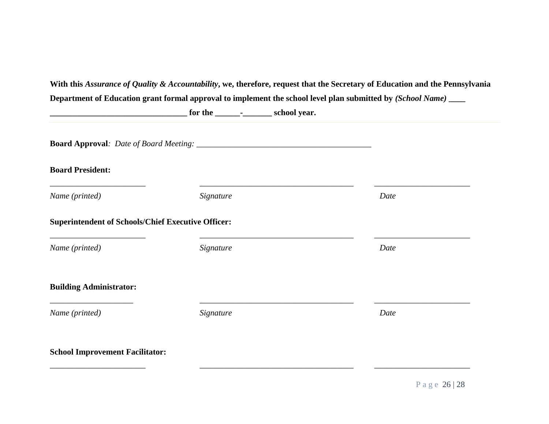|                                                           | $f(x) = \frac{1}{x^2 + 2x + 1}$ for the $\frac{1}{x^2 + 2x + 1}$ school year. |      |
|-----------------------------------------------------------|-------------------------------------------------------------------------------|------|
|                                                           |                                                                               |      |
| <b>Board President:</b>                                   |                                                                               |      |
| Name (printed)                                            | Signature                                                                     | Date |
| <b>Superintendent of Schools/Chief Executive Officer:</b> |                                                                               |      |
| Name (printed)                                            | Signature                                                                     | Date |
| <b>Building Administrator:</b>                            |                                                                               |      |
| Name (printed)                                            | Signature                                                                     | Date |
| <b>School Improvement Facilitator:</b>                    |                                                                               |      |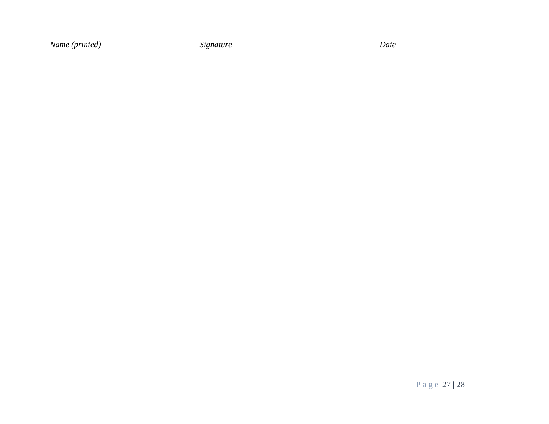*Name (printed) Signature Date*